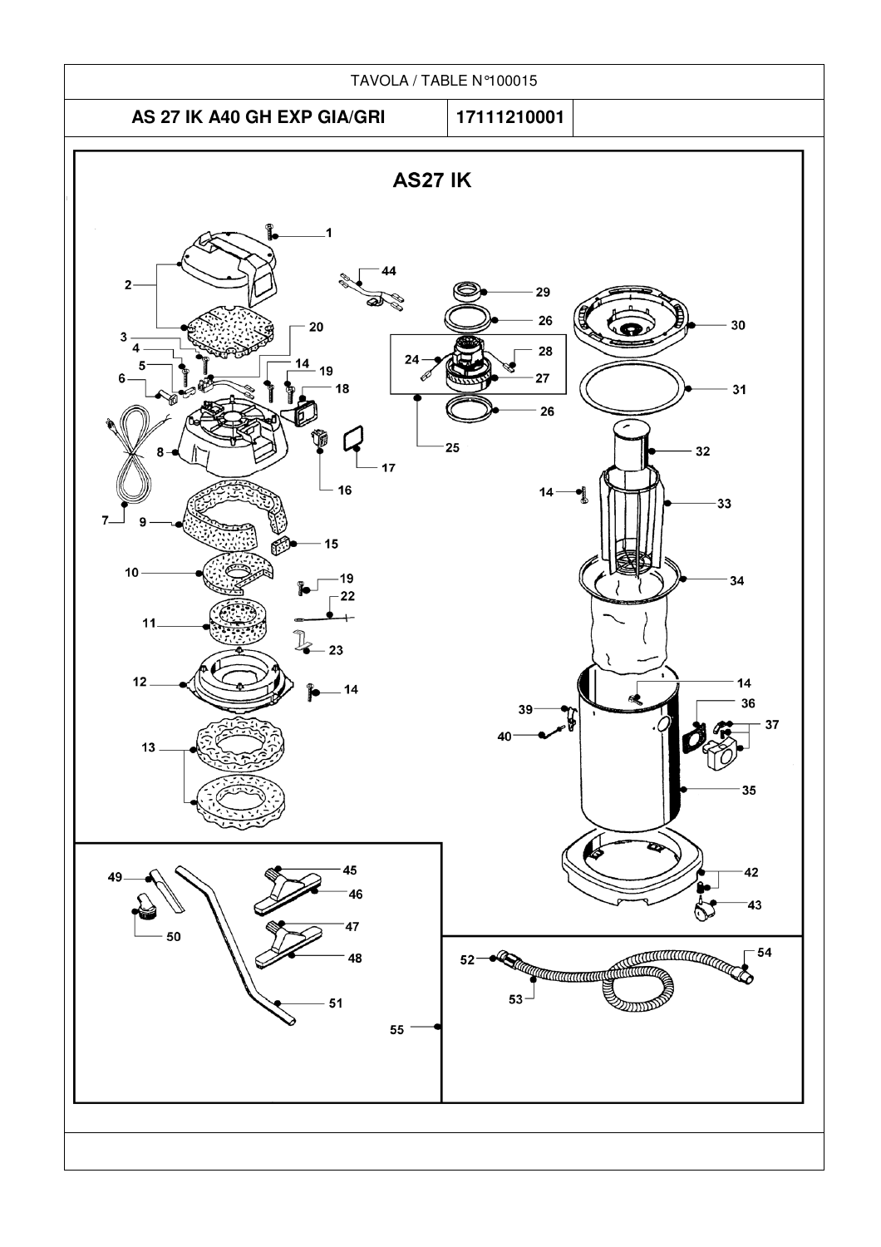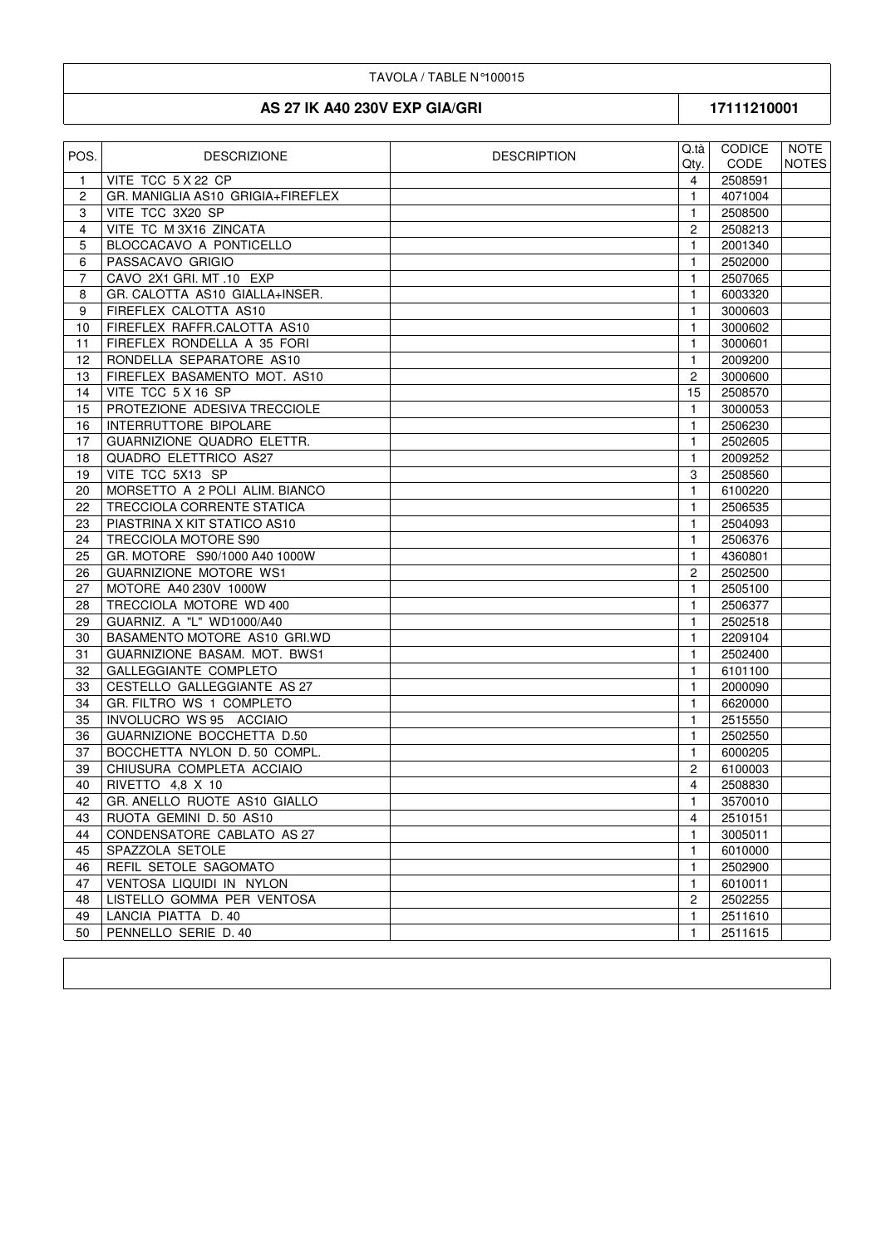## TAVOLA / TABLE N°100015

## AS 27 IK A40 230V EXP GIA/GRI

17111210001

| POS. | <b>DESCRIZIONE</b>                | <b>DESCRIPTION</b> | Q.tà l<br>Qty. | CODICE<br><b>CODE</b> | NOTE<br><b>NOTES</b> |
|------|-----------------------------------|--------------------|----------------|-----------------------|----------------------|
| 1.   | VITE TCC 5 X 22 CP                |                    | $\overline{4}$ | 2508591               |                      |
| 2    | GR. MANIGLIA AS10 GRIGIA+FIREFLEX |                    | 1              | 4071004               |                      |
| 3    | VITE TCC 3X20 SP                  |                    | 1              | 2508500               |                      |
| 4    | VITE TC M 3X16 ZINCATA            |                    | 2              | 2508213               |                      |
| 5    | BLOCCACAVO A PONTICELLO           |                    | 1              | 2001340               |                      |
| 6    | PASSACAVO GRIGIO                  |                    | 1              | 2502000               |                      |
| 7    | CAVO 2X1 GRI. MT .10 EXP          |                    | $\mathbf{1}$   | 2507065               |                      |
| 8    | GR. CALOTTA AS10 GIALLA+INSER.    |                    | 1              | 6003320               |                      |
| 9    | FIREFLEX CALOTTA AS10             |                    | 1              | 3000603               |                      |
| 10   | FIREFLEX RAFFR.CALOTTA AS10       |                    | 1              | 3000602               |                      |
| 11   | FIREFLEX RONDELLA A 35 FORI       |                    | 1              | 3000601               |                      |
| 12   | RONDELLA SEPARATORE AS10          |                    | $\mathbf{1}$   | 2009200               |                      |
| 13   | FIREFLEX BASAMENTO MOT. AS10      |                    | $\overline{2}$ | 3000600               |                      |
| 14   | VITE TCC 5 X 16 SP                |                    | 15             | 2508570               |                      |
| 15   | PROTEZIONE ADESIVA TRECCIOLE      |                    | 1              | 3000053               |                      |
| 16   | INTERRUTTORE BIPOLARE             |                    | 1              | 2506230               |                      |
| 17   | <b>GUARNIZIONE QUADRO ELETTR.</b> |                    | $\mathbf{1}$   | 2502605               |                      |
| 18   | QUADRO ELETTRICO AS27             |                    | $\mathbf{1}$   | 2009252               |                      |
| 19   | VITE TCC 5X13 SP                  |                    | 3              | 2508560               |                      |
| 20   | MORSETTO A 2 POLI ALIM. BIANCO    |                    | 1              | 6100220               |                      |
| 22   | TRECCIOLA CORRENTE STATICA        |                    | 1              | 2506535               |                      |
| 23   | PIASTRINA X KIT STATICO AS10      |                    | 1              | 2504093               |                      |
| 24   | TRECCIOLA MOTORE S90              |                    | 1              | 2506376               |                      |
| 25   | GR. MOTORE S90/1000 A40 1000W     |                    | 1              | 4360801               |                      |
| 26   | <b>GUARNIZIONE MOTORE WS1</b>     |                    | $\overline{c}$ | 2502500               |                      |
| 27   | MOTORE A40 230V 1000W             |                    | $\mathbf{1}$   | 2505100               |                      |
| 28   | TRECCIOLA MOTORE WD 400           |                    | 1              | 2506377               |                      |
| 29   | GUARNIZ. A "L" WD1000/A40         |                    | 1              | 2502518               |                      |
| 30   | BASAMENTO MOTORE AS10 GRI.WD      |                    | $\mathbf{1}$   | 2209104               |                      |
| 31   | GUARNIZIONE BASAM. MOT. BWS1      |                    | 1              | 2502400               |                      |
| 32   | GALLEGGIANTE COMPLETO             |                    | $\mathbf{1}$   | 6101100               |                      |
| 33   | CESTELLO GALLEGGIANTE AS 27       |                    | $\mathbf{1}$   | 2000090               |                      |
| 34   | GR. FILTRO WS 1 COMPLETO          |                    | 1              | 6620000               |                      |
| 35   | INVOLUCRO WS 95 ACCIAIO           |                    | 1              | 2515550               |                      |
| 36   | GUARNIZIONE BOCCHETTA D.50        |                    | 1              | 2502550               |                      |
| 37   | BOCCHETTA NYLON D. 50 COMPL.      |                    | $\mathbf{1}$   | 6000205               |                      |
| 39   | CHIUSURA COMPLETA ACCIAIO         |                    | $\overline{c}$ | 6100003               |                      |
| 40   | RIVETTO 4,8 X 10                  |                    | 4              | 2508830               |                      |
| 42   | GR. ANELLO RUOTE AS10 GIALLO      |                    | $\mathbf{1}$   | 3570010               |                      |
| 43   | RUOTA GEMINI D. 50 AS10           |                    | 4              | 2510151               |                      |
| 44   | CONDENSATORE CABLATO AS 27        |                    | 1              | 3005011               |                      |
| 45   | SPAZZOLA SETOLE                   |                    | 1              | 6010000               |                      |
| 46   | REFIL SETOLE SAGOMATO             |                    | 1              | 2502900               |                      |
| 47   | VENTOSA LIQUIDI IN NYLON          |                    | 1              | 6010011               |                      |
| 48   | LISTELLO GOMMA PER VENTOSA        |                    | $\overline{2}$ | 2502255               |                      |
| 49   | LANCIA PIATTA D. 40               |                    | 1.             | 2511610               |                      |
| 50   | PENNELLO SERIE D. 40              |                    | 1              | 2511615               |                      |